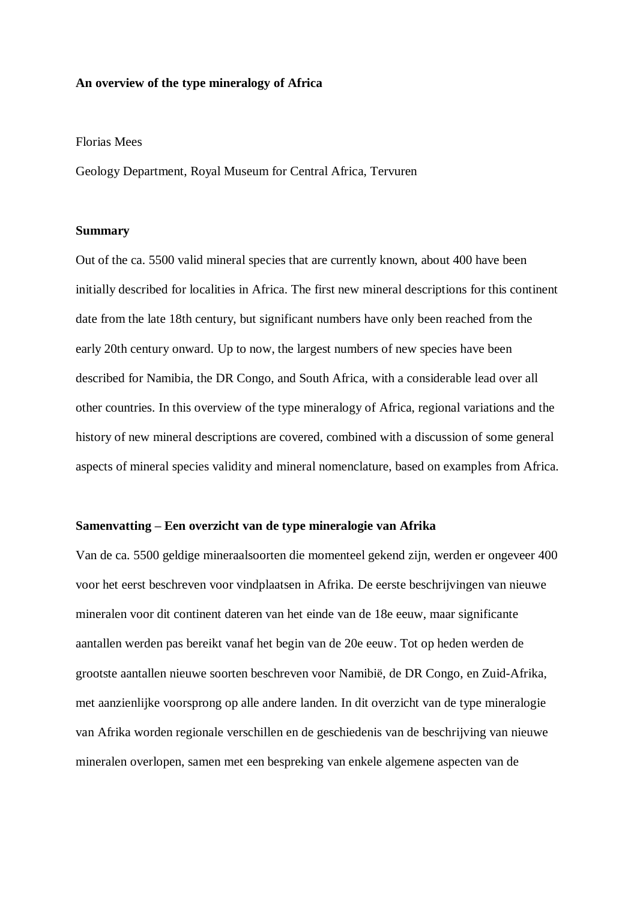## **An overview of the type mineralogy of Africa**

#### Florias Mees

Geology Department, Royal Museum for Central Africa, Tervuren

### **Summary**

Out of the ca. 5500 valid mineral species that are currently known, about 400 have been initially described for localities in Africa. The first new mineral descriptions for this continent date from the late 18th century, but significant numbers have only been reached from the early 20th century onward. Up to now, the largest numbers of new species have been described for Namibia, the DR Congo, and South Africa, with a considerable lead over all other countries. In this overview of the type mineralogy of Africa, regional variations and the history of new mineral descriptions are covered, combined with a discussion of some general aspects of mineral species validity and mineral nomenclature, based on examples from Africa.

## **Samenvatting – Een overzicht van de type mineralogie van Afrika**

Van de ca. 5500 geldige mineraalsoorten die momenteel gekend zijn, werden er ongeveer 400 voor het eerst beschreven voor vindplaatsen in Afrika. De eerste beschrijvingen van nieuwe mineralen voor dit continent dateren van het einde van de 18e eeuw, maar significante aantallen werden pas bereikt vanaf het begin van de 20e eeuw. Tot op heden werden de grootste aantallen nieuwe soorten beschreven voor Namibië, de DR Congo, en Zuid-Afrika, met aanzienlijke voorsprong op alle andere landen. In dit overzicht van de type mineralogie van Afrika worden regionale verschillen en de geschiedenis van de beschrijving van nieuwe mineralen overlopen, samen met een bespreking van enkele algemene aspecten van de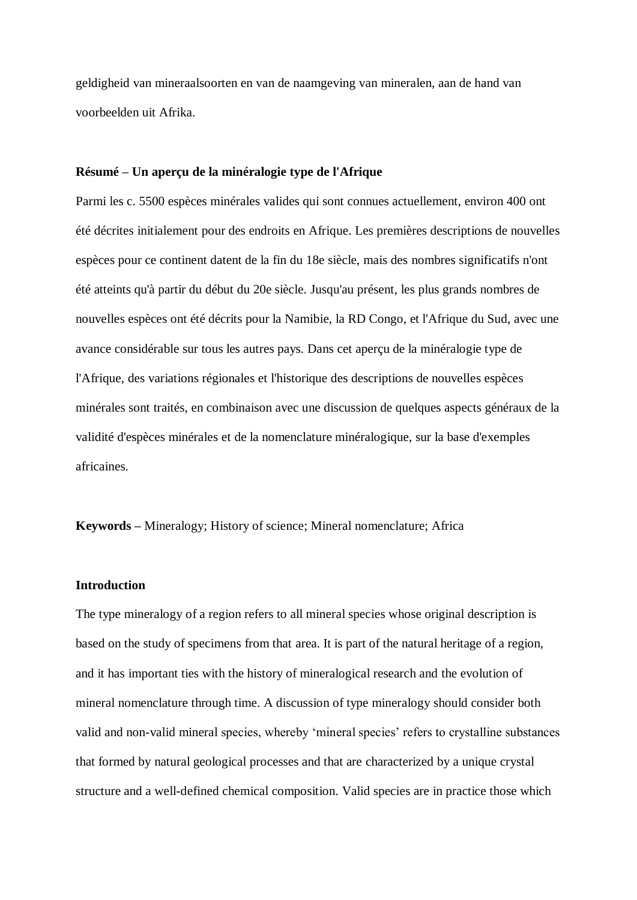geldigheid van mineraalsoorten en van de naamgeving van mineralen, aan de hand van voorbeelden uit Afrika.

## **Résumé – Un aperçu de la minéralogie type de l'Afrique**

Parmi les c. 5500 espèces minérales valides qui sont connues actuellement, environ 400 ont été décrites initialement pour des endroits en Afrique. Les premières descriptions de nouvelles espèces pour ce continent datent de la fin du 18e siècle, mais des nombres significatifs n'ont été atteints qu'à partir du début du 20e siècle. Jusqu'au présent, les plus grands nombres de nouvelles espèces ont été décrits pour la Namibie, la RD Congo, et l'Afrique du Sud, avec une avance considérable sur tous les autres pays. Dans cet aperçu de la minéralogie type de l'Afrique, des variations régionales et l'historique des descriptions de nouvelles espèces minérales sont traités, en combinaison avec une discussion de quelques aspects généraux de la validité d'espèces minérales et de la nomenclature minéralogique, sur la base d'exemples africaines.

**Keywords –** Mineralogy; History of science; Mineral nomenclature; Africa

### **Introduction**

The type mineralogy of a region refers to all mineral species whose original description is based on the study of specimens from that area. It is part of the natural heritage of a region, and it has important ties with the history of mineralogical research and the evolution of mineral nomenclature through time. A discussion of type mineralogy should consider both valid and non-valid mineral species, whereby 'mineral species' refers to crystalline substances that formed by natural geological processes and that are characterized by a unique crystal structure and a well-defined chemical composition. Valid species are in practice those which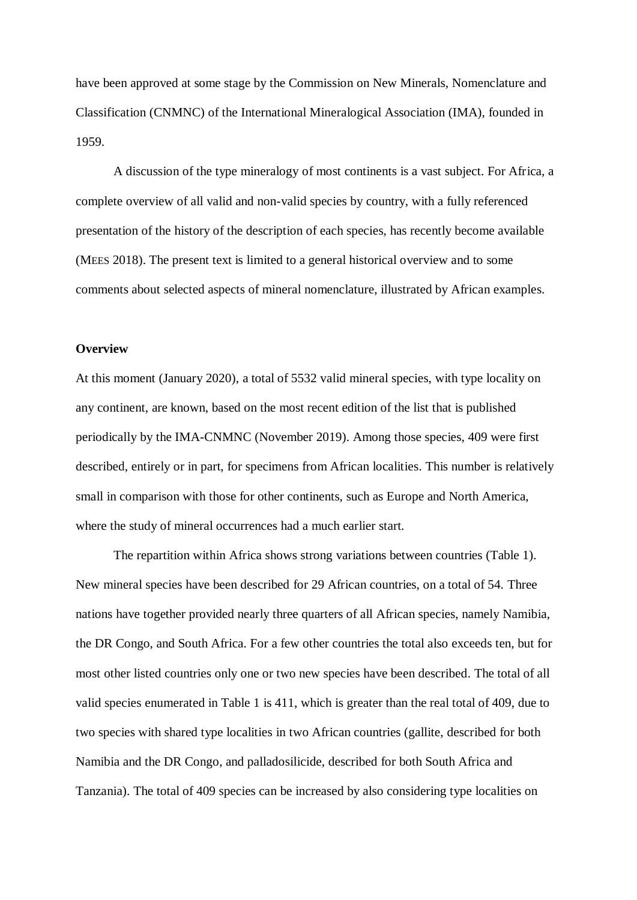have been approved at some stage by the Commission on New Minerals, Nomenclature and Classification (CNMNC) of the International Mineralogical Association (IMA), founded in 1959.

A discussion of the type mineralogy of most continents is a vast subject. For Africa, a complete overview of all valid and non-valid species by country, with a fully referenced presentation of the history of the description of each species, has recently become available (MEES 2018). The present text is limited to a general historical overview and to some comments about selected aspects of mineral nomenclature, illustrated by African examples.

## **Overview**

At this moment (January 2020), a total of 5532 valid mineral species, with type locality on any continent, are known, based on the most recent edition of the list that is published periodically by the IMA-CNMNC (November 2019). Among those species, 409 were first described, entirely or in part, for specimens from African localities. This number is relatively small in comparison with those for other continents, such as Europe and North America, where the study of mineral occurrences had a much earlier start.

The repartition within Africa shows strong variations between countries (Table 1). New mineral species have been described for 29 African countries, on a total of 54. Three nations have together provided nearly three quarters of all African species, namely Namibia, the DR Congo, and South Africa. For a few other countries the total also exceeds ten, but for most other listed countries only one or two new species have been described. The total of all valid species enumerated in Table 1 is 411, which is greater than the real total of 409, due to two species with shared type localities in two African countries (gallite, described for both Namibia and the DR Congo, and palladosilicide, described for both South Africa and Tanzania). The total of 409 species can be increased by also considering type localities on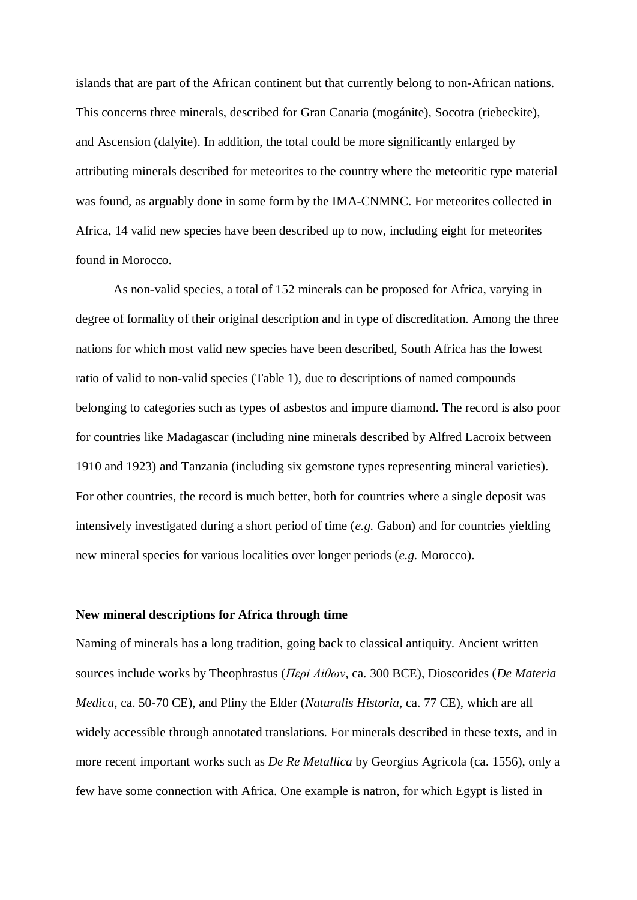islands that are part of the African continent but that currently belong to non-African nations. This concerns three minerals, described for Gran Canaria (mogánite), Socotra (riebeckite), and Ascension (dalyite). In addition, the total could be more significantly enlarged by attributing minerals described for meteorites to the country where the meteoritic type material was found, as arguably done in some form by the IMA-CNMNC. For meteorites collected in Africa, 14 valid new species have been described up to now, including eight for meteorites found in Morocco.

As non-valid species, a total of 152 minerals can be proposed for Africa, varying in degree of formality of their original description and in type of discreditation. Among the three nations for which most valid new species have been described, South Africa has the lowest ratio of valid to non-valid species (Table 1), due to descriptions of named compounds belonging to categories such as types of asbestos and impure diamond. The record is also poor for countries like Madagascar (including nine minerals described by Alfred Lacroix between 1910 and 1923) and Tanzania (including six gemstone types representing mineral varieties). For other countries, the record is much better, both for countries where a single deposit was intensively investigated during a short period of time (*e.g.* Gabon) and for countries yielding new mineral species for various localities over longer periods (*e.g.* Morocco).

## **New mineral descriptions for Africa through time**

Naming of minerals has a long tradition, going back to classical antiquity. Ancient written sources include works by Theophrastus (*Περi Λiθων*, ca. 300 BCE), Dioscorides (*De Materia Medica*, ca. 50-70 CE), and Pliny the Elder (*Naturalis Historia*, ca. 77 CE), which are all widely accessible through annotated translations. For minerals described in these texts, and in more recent important works such as *De Re Metallica* by Georgius Agricola (ca. 1556), only a few have some connection with Africa. One example is natron, for which Egypt is listed in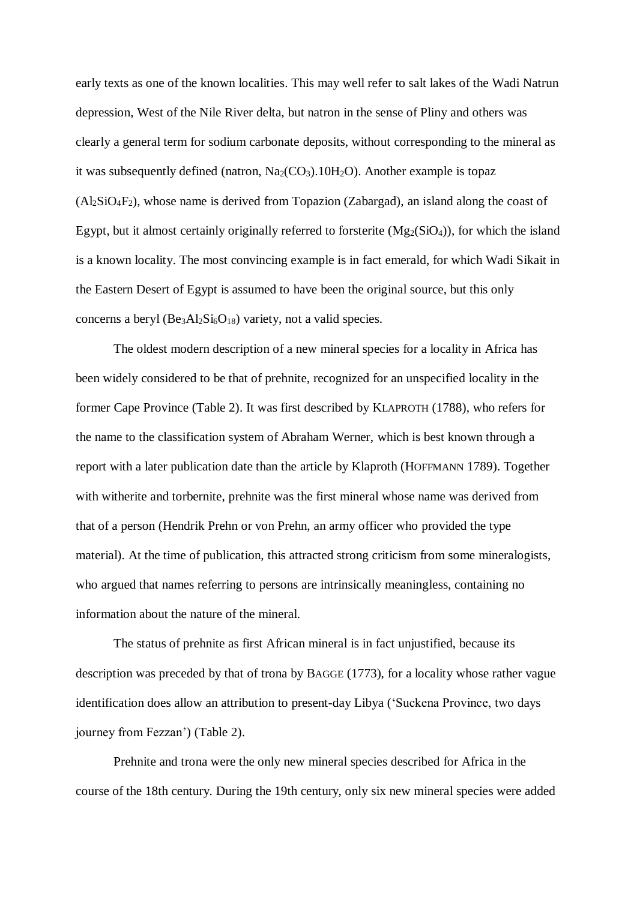early texts as one of the known localities. This may well refer to salt lakes of the Wadi Natrun depression, West of the Nile River delta, but natron in the sense of Pliny and others was clearly a general term for sodium carbonate deposits, without corresponding to the mineral as it was subsequently defined (natron,  $Na_2(CO_3)$ . 10H<sub>2</sub>O). Another example is topaz  $(A<sub>2</sub>SiO<sub>4</sub>F<sub>2</sub>)$ , whose name is derived from Topazion (Zabargad), an island along the coast of Egypt, but it almost certainly originally referred to forsterite  $(Mg_2(SiO_4))$ , for which the island is a known locality. The most convincing example is in fact emerald, for which Wadi Sikait in the Eastern Desert of Egypt is assumed to have been the original source, but this only concerns a beryl  $(Be_3Al_2Si_6O_{18})$  variety, not a valid species.

The oldest modern description of a new mineral species for a locality in Africa has been widely considered to be that of prehnite, recognized for an unspecified locality in the former Cape Province (Table 2). It was first described by KLAPROTH (1788), who refers for the name to the classification system of Abraham Werner, which is best known through a report with a later publication date than the article by Klaproth (HOFFMANN 1789). Together with witherite and torbernite, prehnite was the first mineral whose name was derived from that of a person (Hendrik Prehn or von Prehn, an army officer who provided the type material). At the time of publication, this attracted strong criticism from some mineralogists, who argued that names referring to persons are intrinsically meaningless, containing no information about the nature of the mineral.

The status of prehnite as first African mineral is in fact unjustified, because its description was preceded by that of trona by BAGGE (1773), for a locality whose rather vague identification does allow an attribution to present-day Libya ('Suckena Province, two days journey from Fezzan') (Table 2).

Prehnite and trona were the only new mineral species described for Africa in the course of the 18th century. During the 19th century, only six new mineral species were added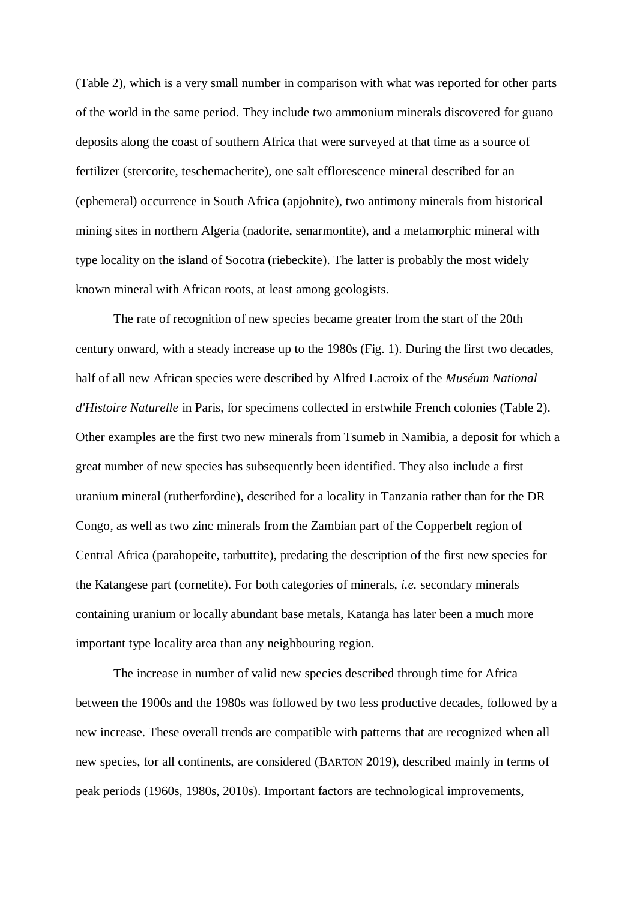(Table 2), which is a very small number in comparison with what was reported for other parts of the world in the same period. They include two ammonium minerals discovered for guano deposits along the coast of southern Africa that were surveyed at that time as a source of fertilizer (stercorite, teschemacherite), one salt efflorescence mineral described for an (ephemeral) occurrence in South Africa (apjohnite), two antimony minerals from historical mining sites in northern Algeria (nadorite, senarmontite), and a metamorphic mineral with type locality on the island of Socotra (riebeckite). The latter is probably the most widely known mineral with African roots, at least among geologists.

The rate of recognition of new species became greater from the start of the 20th century onward, with a steady increase up to the 1980s (Fig. 1). During the first two decades, half of all new African species were described by Alfred Lacroix of the *Muséum National d'Histoire Naturelle* in Paris, for specimens collected in erstwhile French colonies (Table 2). Other examples are the first two new minerals from Tsumeb in Namibia, a deposit for which a great number of new species has subsequently been identified. They also include a first uranium mineral (rutherfordine), described for a locality in Tanzania rather than for the DR Congo, as well as two zinc minerals from the Zambian part of the Copperbelt region of Central Africa (parahopeite, tarbuttite), predating the description of the first new species for the Katangese part (cornetite). For both categories of minerals, *i.e.* secondary minerals containing uranium or locally abundant base metals, Katanga has later been a much more important type locality area than any neighbouring region.

The increase in number of valid new species described through time for Africa between the 1900s and the 1980s was followed by two less productive decades, followed by a new increase. These overall trends are compatible with patterns that are recognized when all new species, for all continents, are considered (BARTON 2019), described mainly in terms of peak periods (1960s, 1980s, 2010s). Important factors are technological improvements,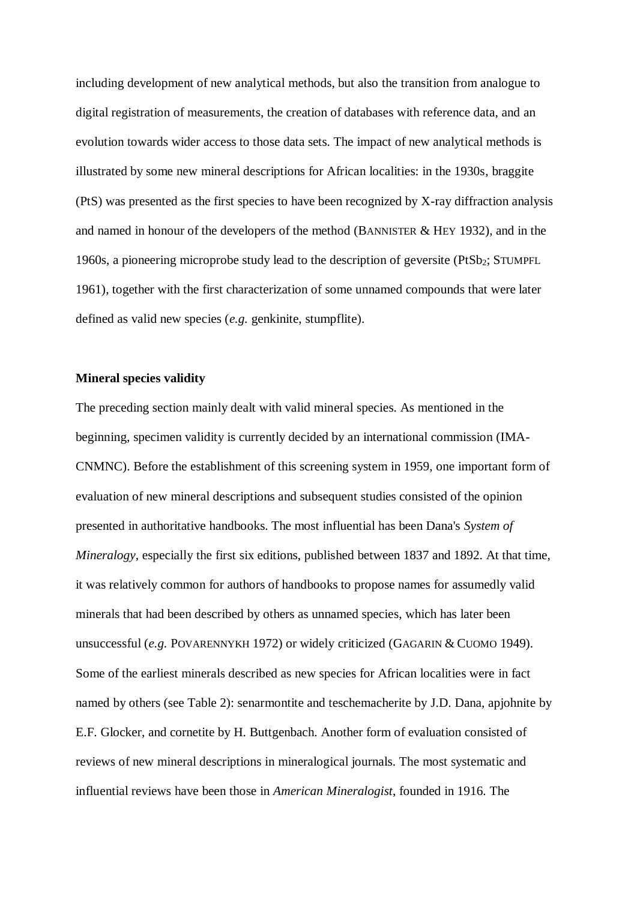including development of new analytical methods, but also the transition from analogue to digital registration of measurements, the creation of databases with reference data, and an evolution towards wider access to those data sets. The impact of new analytical methods is illustrated by some new mineral descriptions for African localities: in the 1930s, braggite (PtS) was presented as the first species to have been recognized by X-ray diffraction analysis and named in honour of the developers of the method (BANNISTER  $&$  HEY 1932), and in the 1960s, a pioneering microprobe study lead to the description of geversite (PtSb2; STUMPFL 1961), together with the first characterization of some unnamed compounds that were later defined as valid new species (*e.g.* genkinite, stumpflite).

#### **Mineral species validity**

The preceding section mainly dealt with valid mineral species. As mentioned in the beginning, specimen validity is currently decided by an international commission (IMA-CNMNC). Before the establishment of this screening system in 1959, one important form of evaluation of new mineral descriptions and subsequent studies consisted of the opinion presented in authoritative handbooks. The most influential has been Dana's *System of Mineralogy*, especially the first six editions, published between 1837 and 1892. At that time, it was relatively common for authors of handbooks to propose names for assumedly valid minerals that had been described by others as unnamed species, which has later been unsuccessful (*e.g.* POVARENNYKH 1972) or widely criticized (GAGARIN & CUOMO 1949). Some of the earliest minerals described as new species for African localities were in fact named by others (see Table 2): senarmontite and teschemacherite by J.D. Dana, apjohnite by E.F. Glocker, and cornetite by H. Buttgenbach. Another form of evaluation consisted of reviews of new mineral descriptions in mineralogical journals. The most systematic and influential reviews have been those in *American Mineralogist*, founded in 1916. The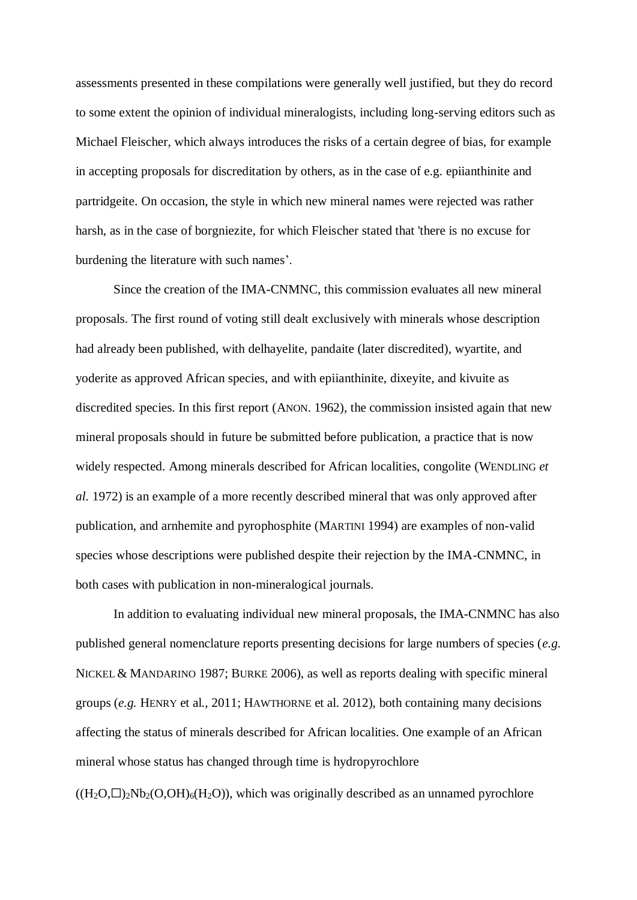assessments presented in these compilations were generally well justified, but they do record to some extent the opinion of individual mineralogists, including long-serving editors such as Michael Fleischer, which always introduces the risks of a certain degree of bias, for example in accepting proposals for discreditation by others, as in the case of e.g. epiianthinite and partridgeite. On occasion, the style in which new mineral names were rejected was rather harsh, as in the case of borgniezite, for which Fleischer stated that 'there is no excuse for burdening the literature with such names'.

Since the creation of the IMA-CNMNC, this commission evaluates all new mineral proposals. The first round of voting still dealt exclusively with minerals whose description had already been published, with delhayelite, pandaite (later discredited), wyartite, and yoderite as approved African species, and with epiianthinite, dixeyite, and kivuite as discredited species. In this first report (ANON. 1962), the commission insisted again that new mineral proposals should in future be submitted before publication, a practice that is now widely respected. Among minerals described for African localities, congolite (WENDLING *et al.* 1972) is an example of a more recently described mineral that was only approved after publication, and arnhemite and pyrophosphite (MARTINI 1994) are examples of non-valid species whose descriptions were published despite their rejection by the IMA-CNMNC, in both cases with publication in non-mineralogical journals.

In addition to evaluating individual new mineral proposals, the IMA-CNMNC has also published general nomenclature reports presenting decisions for large numbers of species (*e.g.* NICKEL & MANDARINO 1987; BURKE 2006), as well as reports dealing with specific mineral groups (*e.g.* HENRY et al., 2011; HAWTHORNE et al. 2012), both containing many decisions affecting the status of minerals described for African localities. One example of an African mineral whose status has changed through time is hydropyrochlore  $((H_2O,\square)_{2}Nb_2(O,OH)_{6}(H_2O))$ , which was originally described as an unnamed pyrochlore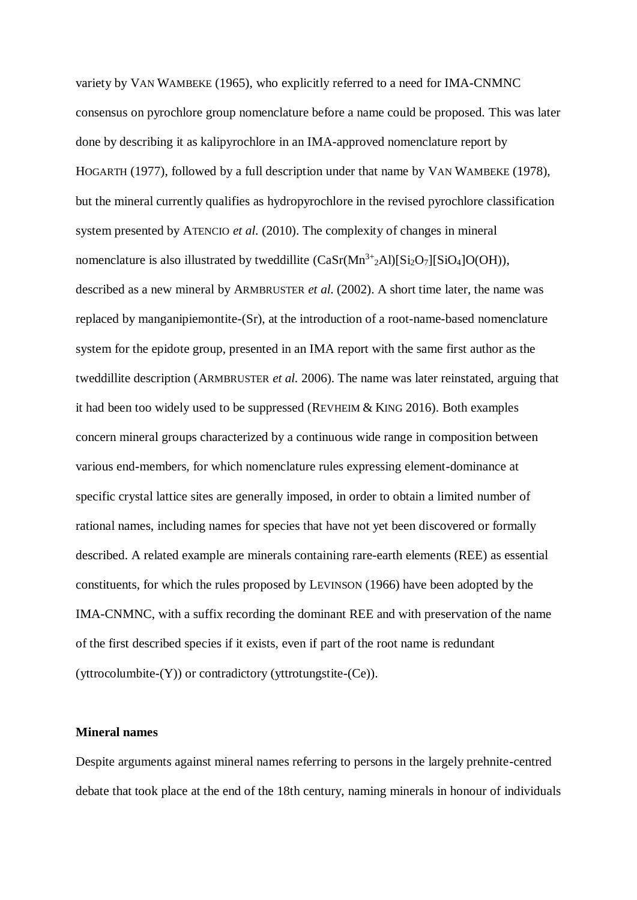variety by VAN WAMBEKE (1965), who explicitly referred to a need for IMA-CNMNC consensus on pyrochlore group nomenclature before a name could be proposed. This was later done by describing it as kalipyrochlore in an IMA-approved nomenclature report by HOGARTH (1977), followed by a full description under that name by VAN WAMBEKE (1978), but the mineral currently qualifies as hydropyrochlore in the revised pyrochlore classification system presented by ATENCIO *et al.* (2010). The complexity of changes in mineral nomenclature is also illustrated by tweddillite  $(CaSr(Mn<sup>3+</sup>2Al)[Si<sub>2</sub>O<sub>7</sub>][SiO<sub>4</sub>]O(OH)),$ described as a new mineral by ARMBRUSTER *et al.* (2002). A short time later, the name was replaced by manganipiemontite-(Sr), at the introduction of a root-name-based nomenclature system for the epidote group, presented in an IMA report with the same first author as the tweddillite description (ARMBRUSTER *et al.* 2006). The name was later reinstated, arguing that it had been too widely used to be suppressed (REVHEIM  $&$  KING 2016). Both examples concern mineral groups characterized by a continuous wide range in composition between various end-members, for which nomenclature rules expressing element-dominance at specific crystal lattice sites are generally imposed, in order to obtain a limited number of rational names, including names for species that have not yet been discovered or formally described. A related example are minerals containing rare-earth elements (REE) as essential constituents, for which the rules proposed by LEVINSON (1966) have been adopted by the IMA-CNMNC, with a suffix recording the dominant REE and with preservation of the name of the first described species if it exists, even if part of the root name is redundant (yttrocolumbite-(Y)) or contradictory (yttrotungstite-(Ce)).

## **Mineral names**

Despite arguments against mineral names referring to persons in the largely prehnite-centred debate that took place at the end of the 18th century, naming minerals in honour of individuals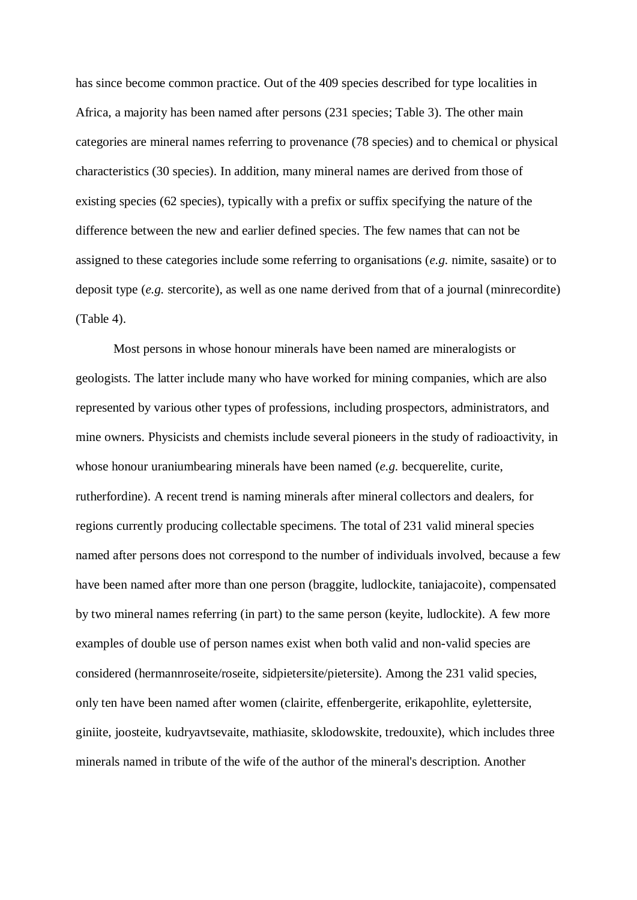has since become common practice. Out of the 409 species described for type localities in Africa, a majority has been named after persons (231 species; Table 3). The other main categories are mineral names referring to provenance (78 species) and to chemical or physical characteristics (30 species). In addition, many mineral names are derived from those of existing species (62 species), typically with a prefix or suffix specifying the nature of the difference between the new and earlier defined species. The few names that can not be assigned to these categories include some referring to organisations (*e.g.* nimite, sasaite) or to deposit type (*e.g.* stercorite), as well as one name derived from that of a journal (minrecordite) (Table 4).

Most persons in whose honour minerals have been named are mineralogists or geologists. The latter include many who have worked for mining companies, which are also represented by various other types of professions, including prospectors, administrators, and mine owners. Physicists and chemists include several pioneers in the study of radioactivity, in whose honour uraniumbearing minerals have been named (*e.g.* becquerelite, curite, rutherfordine). A recent trend is naming minerals after mineral collectors and dealers, for regions currently producing collectable specimens. The total of 231 valid mineral species named after persons does not correspond to the number of individuals involved, because a few have been named after more than one person (braggite, ludlockite, taniajacoite), compensated by two mineral names referring (in part) to the same person (keyite, ludlockite). A few more examples of double use of person names exist when both valid and non-valid species are considered (hermannroseite/roseite, sidpietersite/pietersite). Among the 231 valid species, only ten have been named after women (clairite, effenbergerite, erikapohlite, eylettersite, giniite, joosteite, kudryavtsevaite, mathiasite, sklodowskite, tredouxite), which includes three minerals named in tribute of the wife of the author of the mineral's description. Another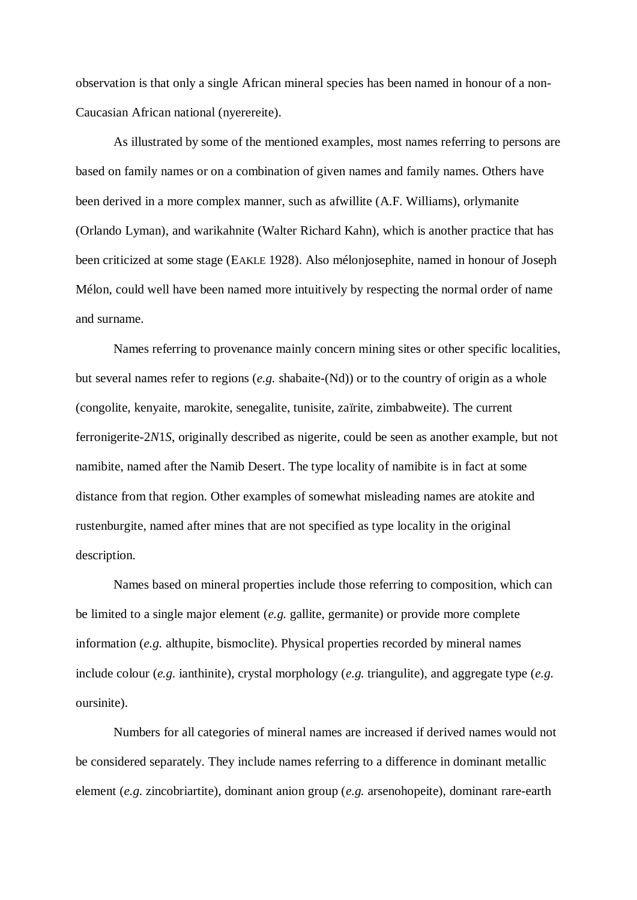observation is that only a single African mineral species has been named in honour of a non-Caucasian African national (nyerereite).

As illustrated by some of the mentioned examples, most names referring to persons are based on family names or on a combination of given names and family names. Others have been derived in a more complex manner, such as afwillite (A.F. Williams), orlymanite (Orlando Lyman), and warikahnite (Walter Richard Kahn), which is another practice that has been criticized at some stage (EAKLE 1928). Also mélonjosephite, named in honour of Joseph Mélon, could well have been named more intuitively by respecting the normal order of name and surname.

Names referring to provenance mainly concern mining sites or other specific localities, but several names refer to regions (*e.g.* shabaite-(Nd)) or to the country of origin as a whole (congolite, kenyaite, marokite, senegalite, tunisite, zaïrite, zimbabweite). The current ferronigerite-2*N*1*S*, originally described as nigerite, could be seen as another example, but not namibite, named after the Namib Desert. The type locality of namibite is in fact at some distance from that region. Other examples of somewhat misleading names are atokite and rustenburgite, named after mines that are not specified as type locality in the original description.

Names based on mineral properties include those referring to composition, which can be limited to a single major element (*e.g.* gallite, germanite) or provide more complete information (*e.g.* althupite, bismoclite). Physical properties recorded by mineral names include colour (*e.g.* ianthinite), crystal morphology (*e.g.* triangulite), and aggregate type (*e.g.* oursinite).

Numbers for all categories of mineral names are increased if derived names would not be considered separately. They include names referring to a difference in dominant metallic element (*e.g.* zincobriartite), dominant anion group (*e.g.* arsenohopeite), dominant rare-earth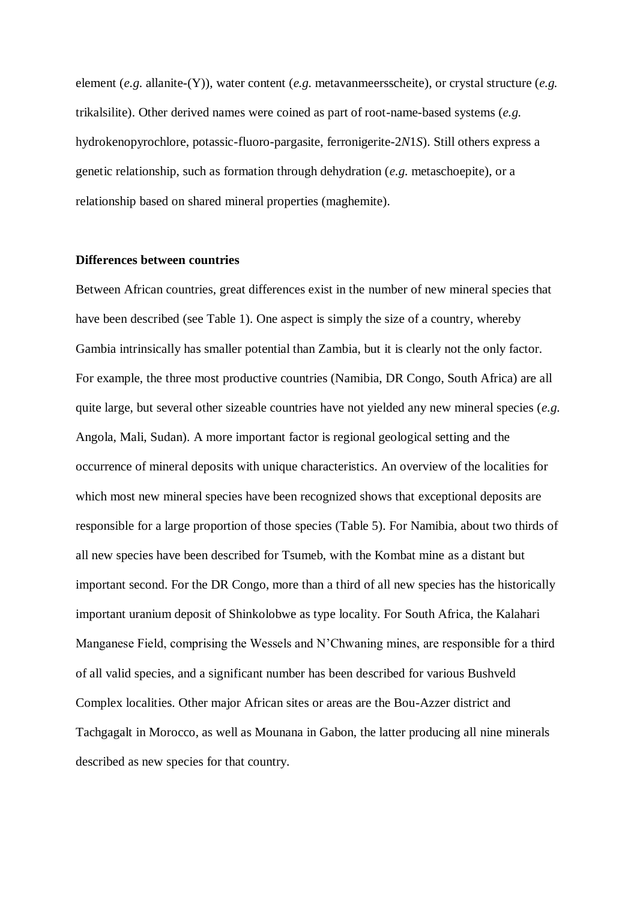element (*e.g.* allanite-(Y)), water content (*e.g.* metavanmeersscheite), or crystal structure (*e.g.* trikalsilite). Other derived names were coined as part of root-name-based systems (*e.g.* hydrokenopyrochlore, potassic-fluoro-pargasite, ferronigerite-2*N*1*S*). Still others express a genetic relationship, such as formation through dehydration (*e.g.* metaschoepite), or a relationship based on shared mineral properties (maghemite).

## **Differences between countries**

Between African countries, great differences exist in the number of new mineral species that have been described (see Table 1). One aspect is simply the size of a country, whereby Gambia intrinsically has smaller potential than Zambia, but it is clearly not the only factor. For example, the three most productive countries (Namibia, DR Congo, South Africa) are all quite large, but several other sizeable countries have not yielded any new mineral species (*e.g.* Angola, Mali, Sudan). A more important factor is regional geological setting and the occurrence of mineral deposits with unique characteristics. An overview of the localities for which most new mineral species have been recognized shows that exceptional deposits are responsible for a large proportion of those species (Table 5). For Namibia, about two thirds of all new species have been described for Tsumeb, with the Kombat mine as a distant but important second. For the DR Congo, more than a third of all new species has the historically important uranium deposit of Shinkolobwe as type locality. For South Africa, the Kalahari Manganese Field, comprising the Wessels and N'Chwaning mines, are responsible for a third of all valid species, and a significant number has been described for various Bushveld Complex localities. Other major African sites or areas are the Bou-Azzer district and Tachgagalt in Morocco, as well as Mounana in Gabon, the latter producing all nine minerals described as new species for that country.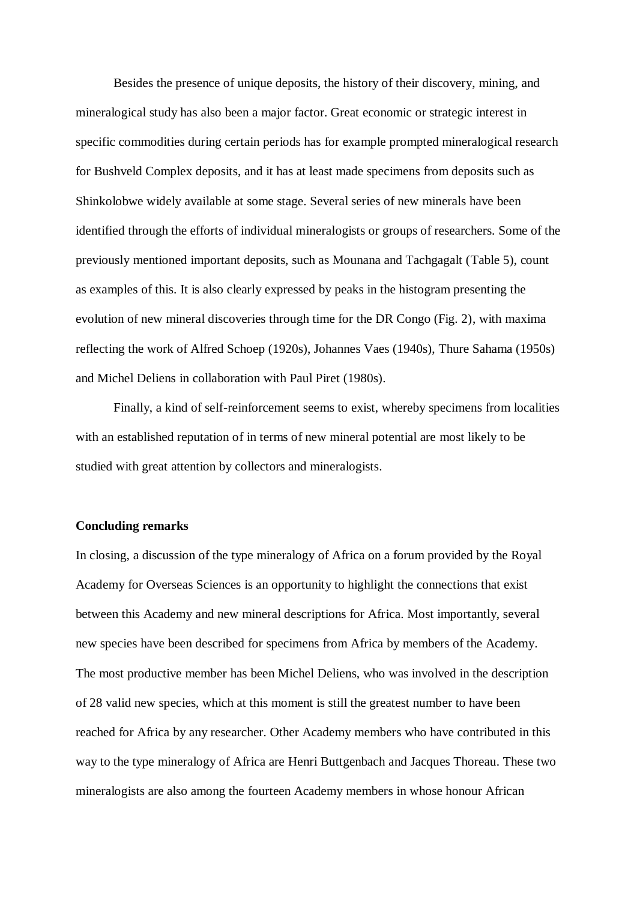Besides the presence of unique deposits, the history of their discovery, mining, and mineralogical study has also been a major factor. Great economic or strategic interest in specific commodities during certain periods has for example prompted mineralogical research for Bushveld Complex deposits, and it has at least made specimens from deposits such as Shinkolobwe widely available at some stage. Several series of new minerals have been identified through the efforts of individual mineralogists or groups of researchers. Some of the previously mentioned important deposits, such as Mounana and Tachgagalt (Table 5), count as examples of this. It is also clearly expressed by peaks in the histogram presenting the evolution of new mineral discoveries through time for the DR Congo (Fig. 2), with maxima reflecting the work of Alfred Schoep (1920s), Johannes Vaes (1940s), Thure Sahama (1950s) and Michel Deliens in collaboration with Paul Piret (1980s).

Finally, a kind of self-reinforcement seems to exist, whereby specimens from localities with an established reputation of in terms of new mineral potential are most likely to be studied with great attention by collectors and mineralogists.

## **Concluding remarks**

In closing, a discussion of the type mineralogy of Africa on a forum provided by the Royal Academy for Overseas Sciences is an opportunity to highlight the connections that exist between this Academy and new mineral descriptions for Africa. Most importantly, several new species have been described for specimens from Africa by members of the Academy. The most productive member has been Michel Deliens, who was involved in the description of 28 valid new species, which at this moment is still the greatest number to have been reached for Africa by any researcher. Other Academy members who have contributed in this way to the type mineralogy of Africa are Henri Buttgenbach and Jacques Thoreau. These two mineralogists are also among the fourteen Academy members in whose honour African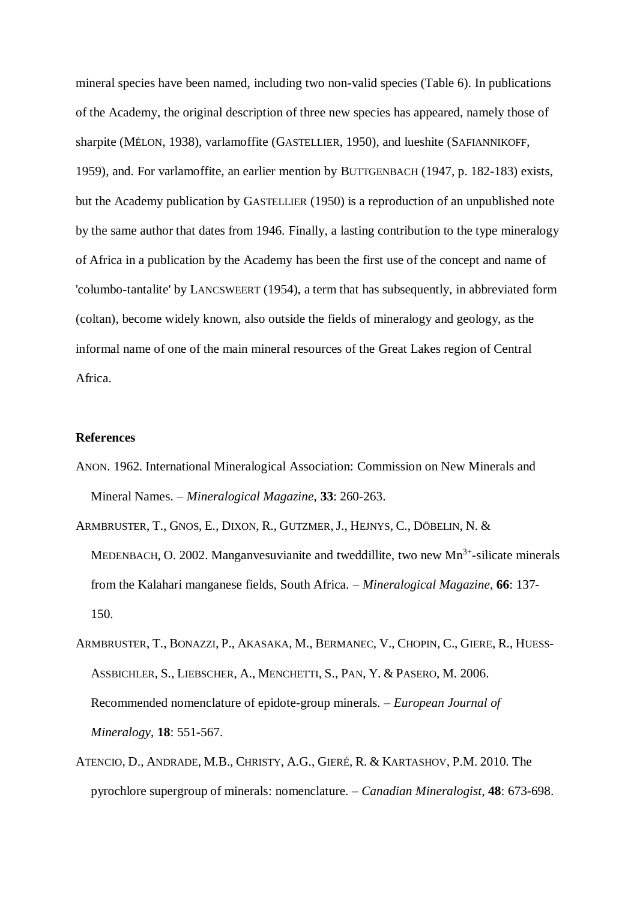mineral species have been named, including two non-valid species (Table 6). In publications of the Academy, the original description of three new species has appeared, namely those of sharpite (MÉLON, 1938), varlamoffite (GASTELLIER, 1950), and lueshite (SAFIANNIKOFF, 1959), and. For varlamoffite, an earlier mention by BUTTGENBACH (1947, p. 182-183) exists, but the Academy publication by GASTELLIER (1950) is a reproduction of an unpublished note by the same author that dates from 1946. Finally, a lasting contribution to the type mineralogy of Africa in a publication by the Academy has been the first use of the concept and name of 'columbo-tantalite' by LANCSWEERT (1954), a term that has subsequently, in abbreviated form (coltan), become widely known, also outside the fields of mineralogy and geology, as the informal name of one of the main mineral resources of the Great Lakes region of Central Africa.

## **References**

- ANON. 1962. International Mineralogical Association: Commission on New Minerals and Mineral Names. – *Mineralogical Magazine*, **33**: 260-263.
- ARMBRUSTER, T., GNOS, E., DIXON, R., GUTZMER,J., HEJNYS, C., DÖBELIN, N. & MEDENBACH, O. 2002. Manganvesuvianite and tweddillite, two new  $Mn^{3+}$ -silicate minerals from the Kalahari manganese fields, South Africa. – *Mineralogical Magazine*, **66**: 137- 150.
- ARMBRUSTER, T., BONAZZI, P., AKASAKA, M., BERMANEC, V., CHOPIN, C., GIERE, R., HUESS-ASSBICHLER, S., LIEBSCHER, A., MENCHETTI, S., PAN, Y. & PASERO, M. 2006. Recommended nomenclature of epidote-group minerals. – *European Journal of Mineralogy*, **18**: 551-567.
- ATENCIO, D., ANDRADE, M.B., CHRISTY, A.G., GIERÉ, R. & KARTASHOV, P.M. 2010. The pyrochlore supergroup of minerals: nomenclature. – *Canadian Mineralogist*, **48**: 673-698.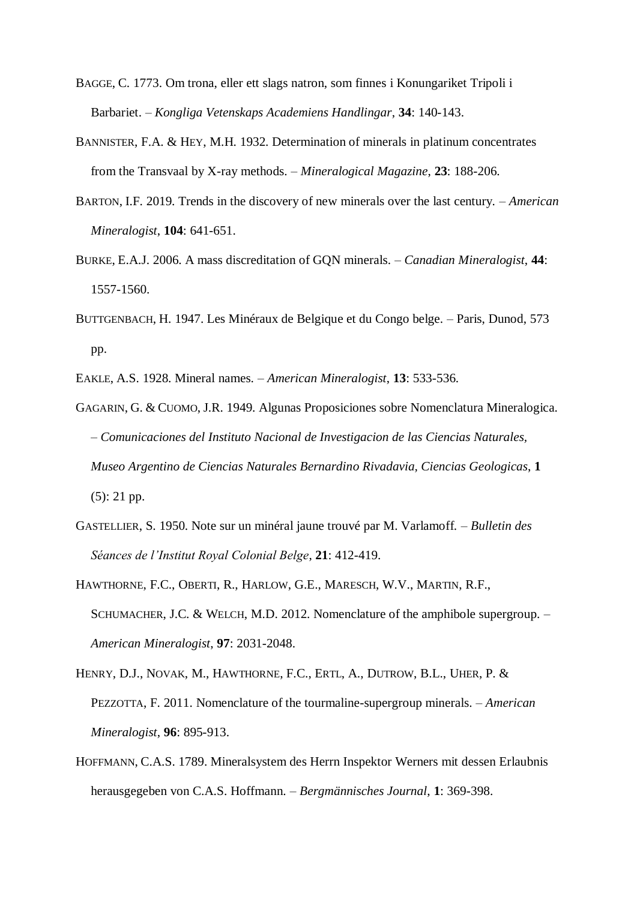- BAGGE, C. 1773. Om trona, eller ett slags natron, som finnes i Konungariket Tripoli i Barbariet. – *Kongliga Vetenskaps Academiens Handlingar*, **34**: 140-143.
- BANNISTER, F.A. & HEY, M.H. 1932. Determination of minerals in platinum concentrates from the Transvaal by X-ray methods. – *Mineralogical Magazine*, **23**: 188-206.
- BARTON, I.F. 2019. Trends in the discovery of new minerals over the last century. *American Mineralogist*, **104**: 641-651.
- BURKE, E.A.J. 2006. A mass discreditation of GQN minerals. *Canadian Mineralogist*, **44**: 1557-1560.
- BUTTGENBACH, H. 1947. Les Minéraux de Belgique et du Congo belge. Paris, Dunod, 573 pp.
- EAKLE, A.S. 1928. Mineral names. *American Mineralogist*, **13**: 533-536.
- GAGARIN, G. & CUOMO, J.R. 1949. Algunas Proposiciones sobre Nomenclatura Mineralogica. – *Comunicaciones del Instituto Nacional de Investigacion de las Ciencias Naturales, Museo Argentino de Ciencias Naturales Bernardino Rivadavia, Ciencias Geologicas*, **1** (5): 21 pp.
- GASTELLIER, S. 1950. Note sur un minéral jaune trouvé par M. Varlamoff. *Bulletin des Séances de l'Institut Royal Colonial Belge*, **21**: 412-419.
- HAWTHORNE, F.C., OBERTI, R., HARLOW, G.E., MARESCH, W.V., MARTIN, R.F., SCHUMACHER, J.C. & WELCH, M.D. 2012. Nomenclature of the amphibole supergroup. – *American Mineralogist*, **97**: 2031-2048.
- HENRY, D.J., NOVAK, M., HAWTHORNE, F.C., ERTL, A., DUTROW, B.L., UHER, P. & PEZZOTTA, F. 2011. Nomenclature of the tourmaline-supergroup minerals. – *American Mineralogist*, **96**: 895-913.
- HOFFMANN, C.A.S. 1789. Mineralsystem des Herrn Inspektor Werners mit dessen Erlaubnis herausgegeben von C.A.S. Hoffmann. – *Bergmännisches Journal*, **1**: 369-398.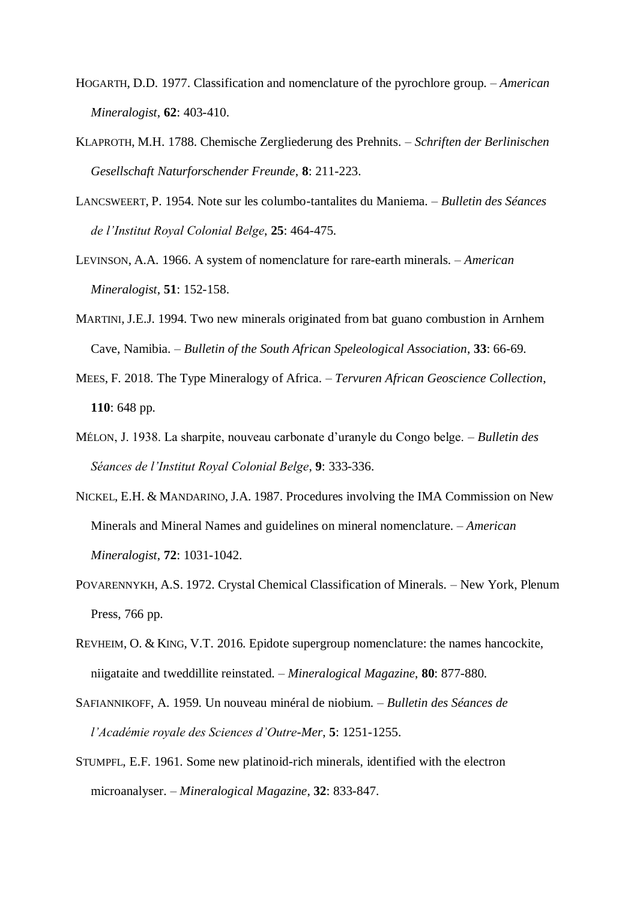- HOGARTH, D.D. 1977. Classification and nomenclature of the pyrochlore group. *American Mineralogist*, **62**: 403-410.
- KLAPROTH, M.H. 1788. Chemische Zergliederung des Prehnits. *Schriften der Berlinischen Gesellschaft Naturforschender Freunde*, **8**: 211-223.
- LANCSWEERT, P. 1954. Note sur les columbo-tantalites du Maniema. *Bulletin des Séances de l'Institut Royal Colonial Belge*, **25**: 464-475.
- LEVINSON, A.A. 1966. A system of nomenclature for rare-earth minerals. *American Mineralogist*, **51**: 152-158.
- MARTINI, J.E.J. 1994. Two new minerals originated from bat guano combustion in Arnhem Cave, Namibia. – *Bulletin of the South African Speleological Association*, **33**: 66-69.
- MEES, F. 2018. The Type Mineralogy of Africa. *Tervuren African Geoscience Collection*, **110**: 648 pp.
- MÉLON, J. 1938. La sharpite, nouveau carbonate d'uranyle du Congo belge. *Bulletin des Séances de l'Institut Royal Colonial Belge*, **9**: 333-336.
- NICKEL, E.H. & MANDARINO, J.A. 1987. Procedures involving the IMA Commission on New Minerals and Mineral Names and guidelines on mineral nomenclature. – *American Mineralogist*, **72**: 1031-1042.
- POVARENNYKH, A.S. 1972. Crystal Chemical Classification of Minerals. New York, Plenum Press, 766 pp.
- REVHEIM, O. & KING, V.T. 2016. Epidote supergroup nomenclature: the names hancockite, niigataite and tweddillite reinstated. – *Mineralogical Magazine*, **80**: 877-880.
- SAFIANNIKOFF, A. 1959. Un nouveau minéral de niobium. *Bulletin des Séances de l'Académie royale des Sciences d'Outre-Mer*, **5**: 1251-1255.
- STUMPFL, E.F. 1961. Some new platinoid-rich minerals, identified with the electron microanalyser. – *Mineralogical Magazine*, **32**: 833-847.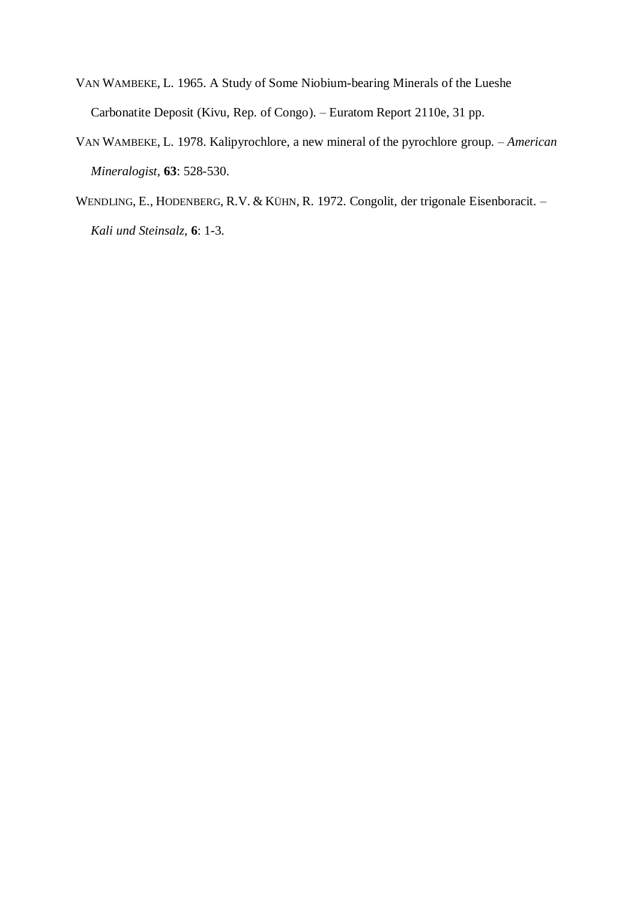- VAN WAMBEKE, L. 1965. A Study of Some Niobium-bearing Minerals of the Lueshe Carbonatite Deposit (Kivu, Rep. of Congo). – Euratom Report 2110e, 31 pp.
- VAN WAMBEKE, L. 1978. Kalipyrochlore, a new mineral of the pyrochlore group. *American Mineralogist*, **63**: 528-530.
- WENDLING, E., HODENBERG, R.V. & KÜHN, R. 1972. Congolit, der trigonale Eisenboracit. *Kali und Steinsalz*, **6**: 1-3.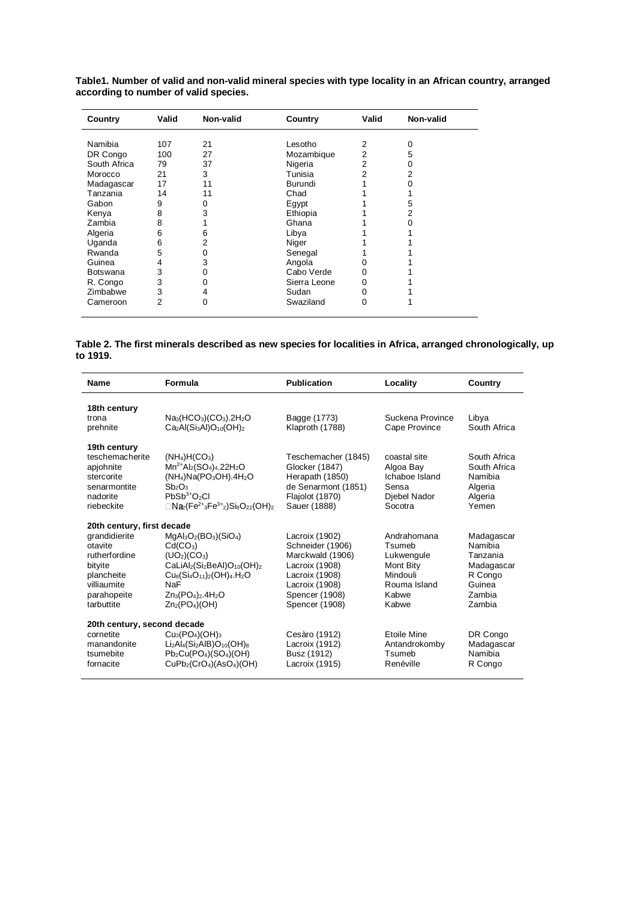| Table1. Number of valid and non-valid mineral species with type locality in an African country, arranged |  |  |
|----------------------------------------------------------------------------------------------------------|--|--|
| according to number of valid species.                                                                    |  |  |

| Country      | Valid | Non-valid | Country      | Valid          | Non-valid |
|--------------|-------|-----------|--------------|----------------|-----------|
|              |       |           |              |                |           |
| Namibia      | 107   | 21        | Lesotho      | 2              | Ω         |
| DR Congo     | 100   | 27        | Mozambique   | $\overline{2}$ | 5         |
| South Africa | 79    | 37        | Nigeria      | 2              |           |
| Morocco      | 21    | 3         | Tunisia      | 2              | 2         |
| Madagascar   | 17    | 11        | Burundi      |                |           |
| Tanzania     | 14    | 11        | Chad         |                |           |
| Gabon        | 9     | $\Omega$  | Egypt        |                | 5         |
| Kenya        | 8     | 3         | Ethiopia     |                | 2         |
| Zambia       | 8     |           | Ghana        |                |           |
| Algeria      | 6     | 6         | Libya        |                |           |
| Uganda       | 6     | 2         | Niger        |                |           |
| Rwanda       | 5     | 0         | Senegal      |                |           |
| Guinea       | 4     | 3         | Angola       | 0              |           |
| Botswana     | 3     | 0         | Cabo Verde   | 0              |           |
| R. Congo     | 3     | Ω         | Sierra Leone | 0              |           |
| Zimbabwe     | 3     | 4         | Sudan        | 0              |           |
| Cameroon     | 2     | 0         | Swaziland    | 0              |           |

## **Table 2. The first minerals described as new species for localities in Africa, arranged chronologically, up to 1919.**

| Name                        | Formula                                                                                                                                | <b>Publication</b>  | Locality           | Country       |
|-----------------------------|----------------------------------------------------------------------------------------------------------------------------------------|---------------------|--------------------|---------------|
| 18th century                |                                                                                                                                        |                     |                    |               |
| trona                       | $Na3(HCO3)(CO3).2H2O$                                                                                                                  | Bagge (1773)        | Suckena Province   | Libya         |
| prehnite                    | $Ca2Al(Si3Al)O10(OH)2$                                                                                                                 | Klaproth (1788)     | Cape Province      | South Africa  |
| 19th century                |                                                                                                                                        |                     |                    |               |
| teschemacherite             | $(NH_4)H(CO_3)$                                                                                                                        | Teschemacher (1845) | coastal site       | South Africa  |
| apjohnite                   | $Mn^{2+}Al_2(SO_4)_4.22H_2O$                                                                                                           | Glocker (1847)      | Algoa Bay          | South Africa  |
| stercorite                  | $(NH4)Na(PO3OH).4H2O$                                                                                                                  | Herapath (1850)     | Ichaboe Island     | Namibia       |
| senarmontite                | Sb <sub>2</sub> O <sub>3</sub>                                                                                                         | de Senarmont (1851) | Sensa              | Algeria       |
| nadorite                    | $PbSb3+O2Cl$                                                                                                                           | Flajolot (1870)     | Diebel Nador       | Algeria       |
| riebeckite                  | $\Box$ Na <sub>2</sub> (Fe <sup>2+</sup> <sub>3</sub> Fe <sup>3+</sup> <sub>2</sub> )Si <sub>8</sub> O <sub>22</sub> (OH) <sub>2</sub> | Sauer (1888)        | Socotra            | Yemen         |
| 20th century, first decade  |                                                                                                                                        |                     |                    |               |
| grandidierite               | $MgAl3O2(BO3)(SiO4)$                                                                                                                   | Lacroix (1902)      | Andrahomana        | Madagascar    |
| otavite                     | Cd(CO <sub>3</sub> )                                                                                                                   | Schneider (1906)    | Tsumeb             | Namibia       |
| rutherfordine               | (UD <sub>2</sub> )(CO <sub>3</sub> )                                                                                                   | Marckwald (1906)    | Lukwengule         | Tanzania      |
| bityite                     | $CalIAI2(Si2BeAl)O10(OH)2$                                                                                                             | Lacroix (1908)      | Mont Bity          | Madagascar    |
| plancheite                  | $Cu_8(Si_4O_{11})_2(OH)_4.H_2O$                                                                                                        | Lacroix (1908)      | Mindouli           | R Congo       |
| villiaumite                 | <b>NaF</b>                                                                                                                             | Lacroix (1908)      | Rouma Island       | Guinea        |
| parahopeite                 | $Zn_3(PO_4)_2.4H_2O$                                                                                                                   | Spencer (1908)      | Kabwe              | <b>Zambia</b> |
| tarbuttite                  | $Zn_2(PO_4)(OH)$                                                                                                                       | Spencer (1908)      | Kabwe              | Zambia        |
| 20th century, second decade |                                                                                                                                        |                     |                    |               |
| cornetite                   | $Cu3(PO4)(OH)3$                                                                                                                        | Cesàro (1912)       | <b>Ftoile Mine</b> | DR Congo      |
| manandonite                 | $Li2Al4(Si2AlB)O10(OH)8$                                                                                                               | Lacroix (1912)      | Antandrokomby      | Madagascar    |
| tsumebite                   | $Pb2Cu(PO4)(SO4)(OH)$                                                                                                                  | Busz (1912)         | Tsumeb             | Namibia       |
| fornacite                   | CuPb <sub>2</sub> (CrO <sub>4</sub> )(AsO <sub>4</sub> )(OH)                                                                           | Lacroix (1915)      | Renéville          | R Congo       |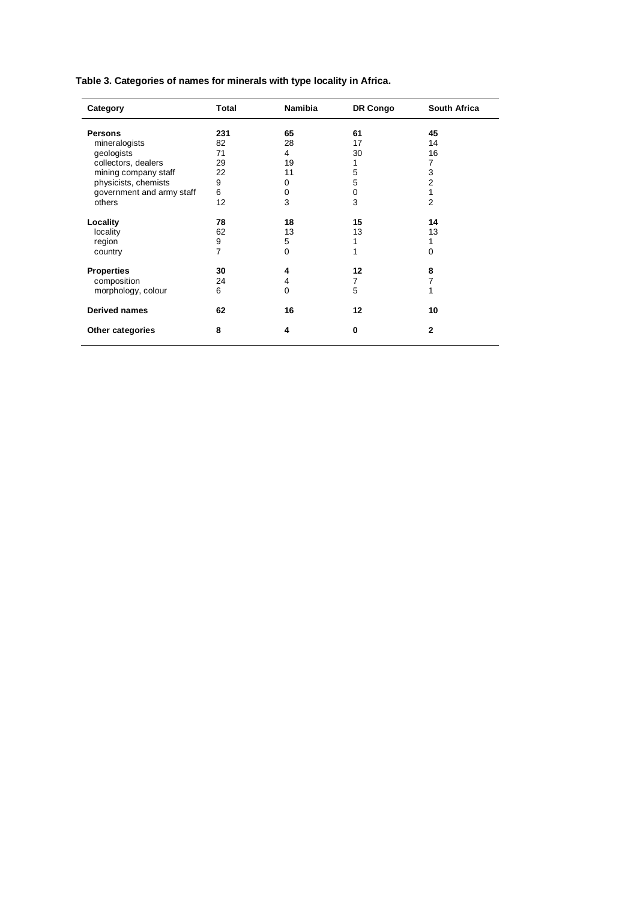**Table 3. Categories of names for minerals with type locality in Africa.**

| Category                  | Total          | <b>Namibia</b> | DR Congo | South Africa   |
|---------------------------|----------------|----------------|----------|----------------|
| <b>Persons</b>            | 231            | 65             | 61       | 45             |
| mineralogists             | 82             | 28             | 17       | 14             |
| geologists                | 71             | 4              | 30       | 16             |
| collectors, dealers       | 29             | 19             |          | 7              |
| mining company staff      | 22             | 11             | 5        | 3              |
| physicists, chemists      | 9              | 0              | 5        | $\overline{2}$ |
| government and army staff | 6              | 0              | 0        | 1              |
| others                    | 12             | 3              | 3        | $\overline{2}$ |
| Locality                  | 78             | 18             | 15       | 14             |
| locality                  | 62             | 13             | 13       | 13             |
| region                    | 9              | 5              |          | 1              |
| country                   | $\overline{7}$ | 0              |          | 0              |
| <b>Properties</b>         | 30             | 4              | 12       | 8              |
| composition               | 24             | 4              | 7        | 7              |
| morphology, colour        | 6              | 0              | 5        | 1              |
| <b>Derived names</b>      | 62             | 16             | 12       | 10             |
| Other categories          | 8              | 4              | 0        | $\mathbf{2}$   |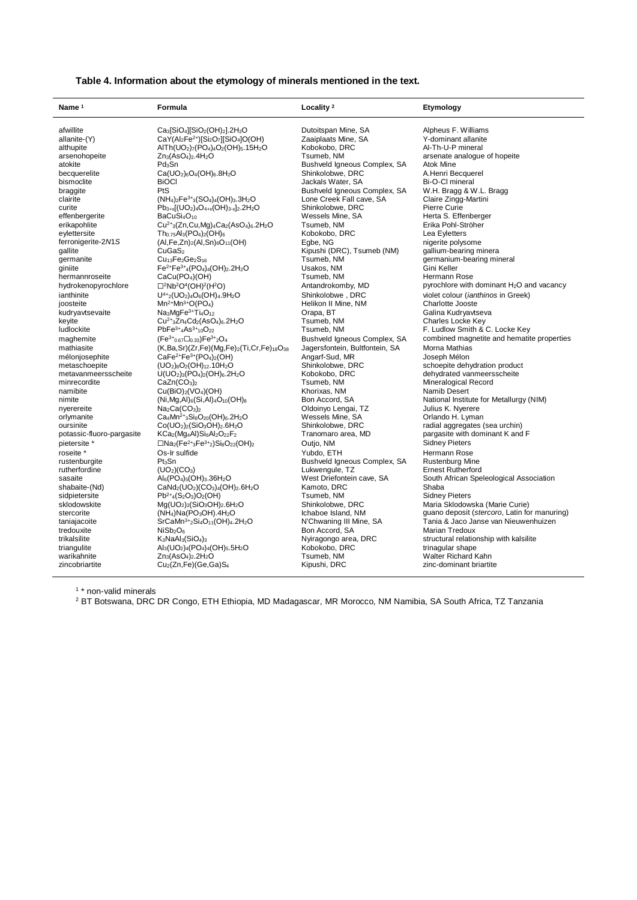| Table 4. Information about the etymology of minerals mentioned in the text. |  |  |  |  |
|-----------------------------------------------------------------------------|--|--|--|--|
|-----------------------------------------------------------------------------|--|--|--|--|

| Locality <sup>2</sup><br>Name <sup>1</sup><br>Formula                                                                                                                  | Etymology                                             |
|------------------------------------------------------------------------------------------------------------------------------------------------------------------------|-------------------------------------------------------|
| afwillite<br>Ca <sub>3</sub> [SiO <sub>4</sub> ][SiO <sub>2</sub> (OH) <sub>2</sub> ].2H <sub>2</sub> O<br>Dutoitspan Mine, SA                                         | Alpheus F. Williams                                   |
| $CaY(AI_2Fe^{2+})[Si_2O_7][SiO_4]O(OH)$<br>Zaaiplaats Mine, SA<br>allanite-(Y)                                                                                         | Y-dominant allanite                                   |
| AITh(UO <sub>2</sub> )7(PO <sub>4</sub> )4O <sub>2</sub> (OH) <sub>5</sub> .15H <sub>2</sub> O<br>Kobokobo, DRC<br>althupite                                           | Al-Th-U-P mineral                                     |
| $Zn_3(AsO_4)_2.4H_2O$<br>Tsumeb, NM<br>arsenohopeite                                                                                                                   | arsenate analogue of hopeite                          |
| Pd <sub>3</sub> Sn<br>atokite<br>Bushveld Igneous Complex, SA                                                                                                          | Atok Mine                                             |
| $Ca(UD2)6O4(OH)6.8H2O$<br>Shinkolobwe, DRC<br>becquerelite                                                                                                             | A.Henri Becquerel                                     |
| <b>BiOCI</b><br>Jackals Water, SA<br>bismoclite                                                                                                                        | Bi-O-Cl mineral                                       |
| PtS<br>Bushveld Igneous Complex, SA<br>braggite                                                                                                                        | W.H. Bragg & W.L. Bragg                               |
| $(NH_4)_2Fe^{3+}{}_{3}(SO_4)_4(OH)_3.3H_2O$<br>clairite<br>Lone Creek Fall cave, SA                                                                                    | Claire Zingg-Martini                                  |
| $Pb_{3+x}[(UO_2)_4O_{4+x}(OH)_{3-x}]_2.2H_2O$<br>Shinkolobwe, DRC<br>curite                                                                                            | Pierre Curie                                          |
| BaCuSi <sub>4</sub> O <sub>10</sub><br>Wessels Mine, SA<br>effenbergerite                                                                                              | Herta S. Effenberger                                  |
| erikapohlite<br>$Cu^{2+}$ <sub>3</sub> (Zn,Cu,Mg) <sub>4</sub> Ca <sub>2</sub> (AsO <sub>4</sub> ) <sub>6</sub> .2H <sub>2</sub> O<br>Tsumeb, NM                       | Erika Pohl-Ströher                                    |
| eylettersite<br>$Th_{0.75}Al_3(PO_4)_2(OH)_6$<br>Kobokobo, DRC                                                                                                         | Lea Eyletters                                         |
| ferronigerite-2N1S<br>$(Al,Fe,Zn)_{2}(Al,Sn)_{6}O_{11}(OH)$<br>Egbe, NG                                                                                                | nigerite polysome                                     |
| Kipushi (DRC), Tsumeb (NM)<br>gallite<br>CuGaS <sub>2</sub>                                                                                                            | gallium-bearing minera                                |
| $Cu13Fe2Ge2S16$<br>Tsumeb, NM<br>germanite                                                                                                                             | germanium-bearing mineral                             |
| Fe <sup>2+</sup> Fe <sup>3+</sup> <sub>4</sub> (PO <sub>4</sub> ) <sub>4</sub> (OH) <sub>2</sub> .2H <sub>2</sub> O<br>Usakos, NM<br>giniite                           | Gini Keller                                           |
| hermannroseite<br>CaCu(PO <sub>4</sub> )(OH)<br>Tsumeb, NM                                                                                                             | Hermann Rose                                          |
| $\square$ <sup>2</sup> Nb <sup>2</sup> O <sup>4</sup> (OH) <sup>2</sup> (H <sup>2</sup> O)<br>hydrokenopyrochlore<br>Antandrokomby, MD                                 | pyrochlore with dominant H <sub>2</sub> O and vacancy |
| $U^{4+}$ <sub>2</sub> (UO <sub>2</sub> ) <sub>4</sub> O <sub>6</sub> (OH) <sub>4</sub> .9H <sub>2</sub> O<br>Shinkolobwe, DRC<br>ianthinite                            | violet colour ( <i>ianthinos</i> in Greek)            |
| joosteite<br>$Mn^{2+}Mn^{3+}O(PO_4)$<br>Helikon II Mine, NM                                                                                                            | Charlotte Jooste                                      |
| $Na3MqFe3+T4O12$<br>kudryavtsevaite<br>Orapa, BT                                                                                                                       | Galina Kudryavtseva                                   |
| $Cu^{2+}$ <sub>3</sub> Zn <sub>4</sub> Cd <sub>2</sub> (AsO <sub>4</sub> ) <sub>6</sub> .2H <sub>2</sub> O<br>Tsumeb, NM<br>keyite                                     | Charles Locke Key                                     |
| $PbFe3+4As3+10O22$<br>Tsumeb, NM<br>ludlockite                                                                                                                         | F. Ludlow Smith & C. Locke Key                        |
| Bushveld Igneous Complex, SA<br>maghemite<br>$(Fe^{3+}0.67\Box_{0.33})Fe^{3+}2O_4$                                                                                     | combined magnetite and hematite properties            |
| Jagersfontein, Bultfontein, SA<br>mathiasite<br>$(K, Ba, Sr)(Zr, Fe)(Mg, Fe)_2(Ti, Cr, Fe)_{18}O_{38}$                                                                 | Morna Mathias                                         |
| $CaFe^{2+}Fe^{3+}(PO_4)_2(OH)$<br>Angarf-Sud, MR<br>mélonjosephite                                                                                                     | Joseph Mélon                                          |
| $(UD2)8O2(OH)12$ .10H <sub>2</sub> O<br>Shinkolobwe, DRC<br>metaschoepite                                                                                              | schoepite dehydration product                         |
| $U(UD2)3(PO4)2(OH)6.2H2O$<br>Kobokobo, DRC<br>metavanmeersscheite                                                                                                      | dehydrated vanmeersscheite                            |
| minrecordite<br>CaZn(CO <sub>3</sub> ) <sub>2</sub><br>Tsumeb, NM                                                                                                      | <b>Mineralogical Record</b>                           |
| namibite<br>$Cu(BiO)2(VO4)(OH)$<br>Khorixas, NM                                                                                                                        | Namib Desert                                          |
| nimite<br>$(Ni, Mg, Al)_6(Si, Al)_4O_{10}(OH)_8$<br>Bon Accord, SA                                                                                                     | National Institute for Metallurgy (NIM)               |
| Oldoinyo Lengai, TZ<br>nyerereite<br>$Na2Ca(CO3)2$<br>$Ca_4Mn^{2+}{}_{3}Si_8O_{20}(OH)_6.2H_2O$<br>Wessels Mine, SA<br>orlymanite                                      | Julius K. Nyerere<br>Orlando H. Lyman                 |
| Co(UO <sub>2</sub> ) <sub>2</sub> (SiO <sub>3</sub> OH) <sub>2</sub> .6H <sub>2</sub> O<br>oursinite<br>Shinkolobwe, DRC                                               | radial aggregates (sea urchin)                        |
| potassic-fluoro-pargasite<br>KCa <sub>2</sub> (Mg <sub>4</sub> Al)Si <sub>6</sub> Al <sub>2</sub> O <sub>22</sub> F <sub>2</sub><br>Tranomaro area, MD                 | pargasite with dominant K and F                       |
| pietersite *<br>$\square$ Na <sub>2</sub> (Fe <sup>2+</sup> <sub>3</sub> Fe <sup>3+</sup> <sub>2</sub> )Si <sub>8</sub> O <sub>22</sub> (OH) <sub>2</sub><br>Outjo, NM | <b>Sidney Pieters</b>                                 |
| roseite *<br>Os-Ir sulfide<br>Yubdo, ETH                                                                                                                               | Hermann Rose                                          |
| Pt <sub>3</sub> Sn<br>Bushveld Igneous Complex, SA<br>rustenburgite                                                                                                    | <b>Rustenburg Mine</b>                                |
| (UO <sub>2</sub> )(CO <sub>3</sub> )<br>rutherfordine<br>Lukwengule, TZ                                                                                                | <b>Ernest Rutherford</b>                              |
| West Driefontein cave, SA<br>sasaite<br>$Al_6(PO_4)_5(OH)_3.36H_2O$                                                                                                    | South African Speleological Association               |
| CaNd <sub>2</sub> (UO <sub>2</sub> )(CO <sub>3</sub> ) <sub>4</sub> (OH) <sub>2</sub> .6H <sub>2</sub> O<br>Kamoto, DRC<br>shabaite-(Nd)                               | Shaba                                                 |
| $Pb^{2+}_{4}(S_2O_3)O_2(OH)$<br>Tsumeb, NM<br>sidpietersite                                                                                                            | Sidney Pieters                                        |
| sklodowskite<br>$Mg(UO2)2(SiO3OH)2.6H2O$<br>Shinkolobwe, DRC                                                                                                           | Maria Sklodowska (Marie Curie)                        |
| stercorite<br>$(NH4)Na(PO3OH).4H2O$<br>Ichaboe Island, NM                                                                                                              | guano deposit (stercoro, Latin for manuring)          |
| taniajacoite<br>$SrCaMn3+2Si4O11(OH)4.2H2O$<br>N'Chwaning III Mine, SA                                                                                                 | Tania & Jaco Janse van Nieuwenhuizen                  |
| NiSb <sub>2</sub> O <sub>6</sub><br>Bon Accord, SA<br>tredouxite                                                                                                       | <b>Marian Tredoux</b>                                 |
| $K_3$ NaAl <sub>3</sub> $(SiO_4)_3$<br>Nyiragongo area, DRC<br>trikalsilite                                                                                            | structural relationship with kalsilite                |
| Al <sub>3</sub> (UO <sub>2</sub> ) <sub>4</sub> (PO <sub>4</sub> ) <sub>4</sub> (OH) <sub>5</sub> .5H <sub>2</sub> O<br>Kobokobo, DRC<br>triangulite                   | trinagular shape                                      |
| warikahnite<br>Tsumeb, NM<br>$Zn_3(AsO_4)_2.2H_2O$                                                                                                                     | Walter Richard Kahn                                   |
| zincobriartite<br>$Cu2(Zn,Fe)(Ge,Ga)S4$<br>Kipushi, DRC                                                                                                                | zinc-dominant briartite                               |

1 \* non-valid minerals

<sup>2</sup> BT Botswana, DRC DR Congo, ETH Ethiopia, MD Madagascar, MR Morocco, NM Namibia, SA South Africa, TZ Tanzania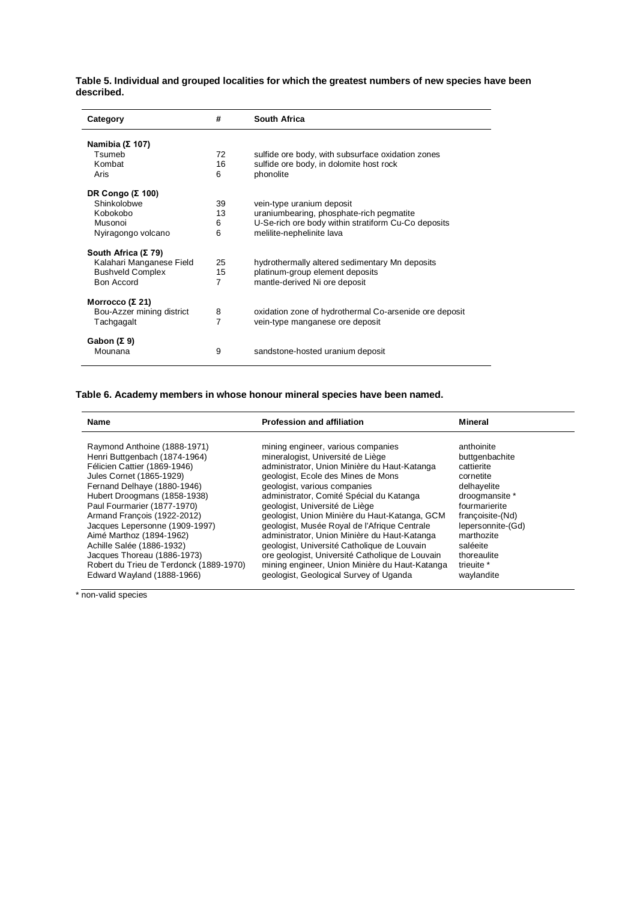**Table 5. Individual and grouped localities for which the greatest numbers of new species have been described.**

| #              | <b>South Africa</b>                                    |
|----------------|--------------------------------------------------------|
|                |                                                        |
| 72             | sulfide ore body, with subsurface oxidation zones      |
| 16             | sulfide ore body, in dolomite host rock                |
| 6              | phonolite                                              |
|                |                                                        |
| 39             | vein-type uranium deposit                              |
| 13             | uraniumbearing, phosphate-rich pegmatite               |
| 6              | U-Se-rich ore body within stratiform Cu-Co deposits    |
| 6              | melilite-nephelinite lava                              |
|                |                                                        |
| 25             | hydrothermally altered sedimentary Mn deposits         |
| 15             | platinum-group element deposits                        |
| $\overline{7}$ | mantle-derived Ni ore deposit                          |
|                |                                                        |
| 8              | oxidation zone of hydrothermal Co-arsenide ore deposit |
| 7              | vein-type manganese ore deposit                        |
|                |                                                        |
|                |                                                        |
| 9              | sandstone-hosted uranium deposit                       |
|                |                                                        |

## **Table 6. Academy members in whose honour mineral species have been named.**

| <b>Name</b>                             | <b>Profession and affiliation</b>               |                   |
|-----------------------------------------|-------------------------------------------------|-------------------|
| Raymond Anthoine (1888-1971)            | mining engineer, various companies              | anthoinite        |
| Henri Buttgenbach (1874-1964)           | mineralogist, Université de Liège               | buttgenbachite    |
| Félicien Cattier (1869-1946)            | administrator, Union Minière du Haut-Katanga    | cattierite        |
| Jules Cornet (1865-1929)                | geologist, Ecole des Mines de Mons              | cornetite         |
| Fernand Delhaye (1880-1946)             | geologist, various companies                    | delhayelite       |
| Hubert Droogmans (1858-1938)            | administrator, Comité Spécial du Katanga        | droogmansite *    |
| Paul Fourmarier (1877-1970)             | geologist, Université de Liège                  | fourmarierite     |
| Armand Francois (1922-2012)             | geologist, Union Minière du Haut-Katanga, GCM   | francoisite-(Nd)  |
| Jacques Lepersonne (1909-1997)          | geologist, Musée Royal de l'Afrique Centrale    | lepersonnite-(Gd) |
| Aimé Marthoz (1894-1962)                | administrator, Union Minière du Haut-Katanga    | marthozite        |
| Achille Salée (1886-1932)               | geologist, Université Catholique de Louvain     | saléeite          |
| Jacques Thoreau (1886-1973)             | ore geologist, Université Catholique de Louvain | thoreaulite       |
| Robert du Trieu de Terdonck (1889-1970) | mining engineer, Union Minière du Haut-Katanga  | trieuite *        |
| Edward Wayland (1888-1966)              | geologist, Geological Survey of Uganda          | waylandite        |

\* non-valid species